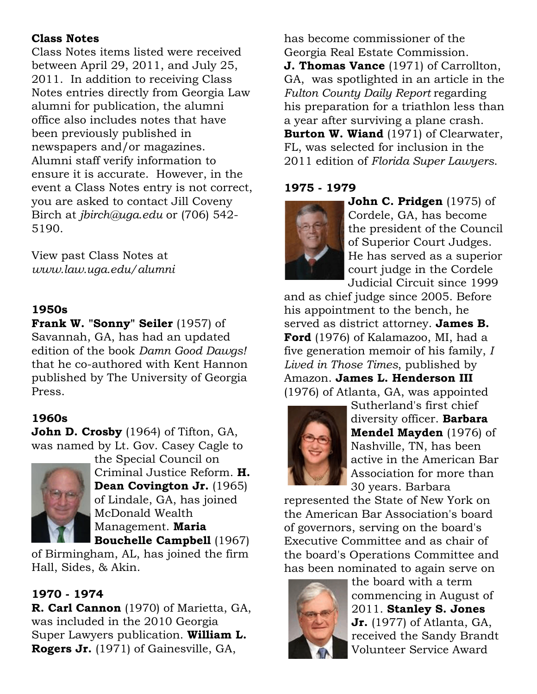## **Class Notes**

Class Notes items listed were received between April 29, 2011, and July 25, 2011. In addition to receiving Class Notes entries directly from Georgia Law alumni for publication, the alumni office also includes notes that have been previously published in newspapers and/or magazines. Alumni staff verify information to ensure it is accurate. However, in the event a Class Notes entry is not correct, you are asked to contact Jill Coveny Birch at *jbirch@uga.edu* or (706) 542- 5190.

View past Class Notes at *www.law.uga.edu/alumni*

## **1950s**

**Frank W. "Sonny" Seiler** (1957) of Savannah, GA, has had an updated edition of the book *Damn Good Dawgs!* that he co-authored with Kent Hannon published by The University of Georgia Press.

# **1960s**

**John D. Crosby** (1964) of Tifton, GA, was named by Lt. Gov. Casey Cagle to the Special Council on



Criminal Justice Reform. **H. Dean Covington Jr.** (1965) of Lindale, GA, has joined McDonald Wealth Management. **Maria Bouchelle Campbell** (1967)

of Birmingham, AL, has joined the firm Hall, Sides, & Akin.

# **1970 - 1974**

**R. Carl Cannon** (1970) of Marietta, GA, was included in the 2010 Georgia Super Lawyers publication. **William L. Rogers Jr.** (1971) of Gainesville, GA,

has become commissioner of the Georgia Real Estate Commission.

**J. Thomas Vance** (1971) of Carrollton, GA, was spotlighted in an article in the *Fulton County Daily Report* regarding his preparation for a triathlon less than a year after surviving a plane crash. **Burton W. Wiand** (1971) of Clearwater, FL, was selected for inclusion in the 2011 edition of *Florida Super Lawyers*.

## **1975 - 1979**



**John C. Pridgen** (1975) of Cordele, GA, has become the president of the Council of Superior Court Judges. He has served as a superior court judge in the Cordele Judicial Circuit since 1999

and as chief judge since 2005. Before his appointment to the bench, he served as district attorney. **James B. Ford** (1976) of Kalamazoo, MI, had a five generation memoir of his family, *I Lived in Those Times*, published by Amazon. **James L. Henderson III** (1976) of Atlanta, GA, was appointed



Sutherland's first chief diversity officer. **Barbara Mendel Mayden** (1976) of Nashville, TN, has been active in the American Bar Association for more than 30 years. Barbara

represented the State of New York on the American Bar Association's board of governors, serving on the board's Executive Committee and as chair of the board's Operations Committee and has been nominated to again serve on



the board with a term commencing in August of 2011. **Stanley S. Jones Jr.** (1977) of Atlanta, GA, received the Sandy Brandt Volunteer Service Award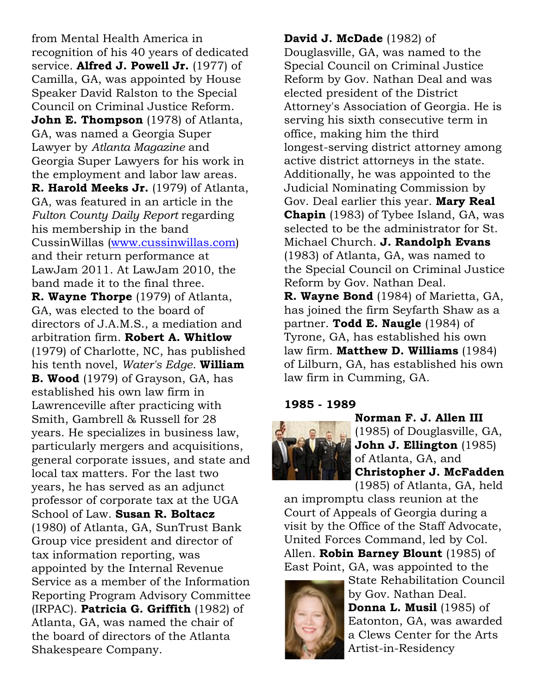from Mental Health America in recognition of his 40 years of dedicated service. **Alfred J. Powell Jr.** (1977) of Camilla, GA, was appointed by House Speaker David Ralston to the Special Council on Criminal Justice Reform. **John E. Thompson** (1978) of Atlanta, GA, was named a Georgia Super Lawyer by *Atlanta Magazine* and Georgia Super Lawyers for his work in the employment and labor law areas. **R. Harold Meeks Jr.** (1979) of Atlanta, GA, was featured in an article in the *Fulton County Daily Report* regarding his membership in the band CussinWillas (www.cussinwillas.com) and their return performance at LawJam 2011. At LawJam 2010, the band made it to the final three. **R. Wayne Thorpe** (1979) of Atlanta, GA, was elected to the board of directors of J.A.M.S., a mediation and arbitration firm. **Robert A. Whitlow** (1979) of Charlotte, NC, has published his tenth novel, *Water's Edge*. **William B. Wood** (1979) of Grayson, GA, has established his own law firm in Lawrenceville after practicing with Smith, Gambrell & Russell for 28 years. He specializes in business law, particularly mergers and acquisitions, general corporate issues, and state and local tax matters. For the last two years, he has served as an adjunct professor of corporate tax at the UGA School of Law. **Susan R. Boltacz** (1980) of Atlanta, GA, SunTrust Bank Group vice president and director of tax information reporting, was appointed by the Internal Revenue Service as a member of the Information Reporting Program Advisory Committee (IRPAC). **Patricia G. Griffith** (1982) of Atlanta, GA, was named the chair of the board of directors of the Atlanta Shakespeare Company.

**David J. McDade** (1982) of Douglasville, GA, was named to the Special Council on Criminal Justice Reform by Gov. Nathan Deal and was elected president of the District Attorney's Association of Georgia. He is serving his sixth consecutive term in office, making him the third longest-serving district attorney among active district attorneys in the state. Additionally, he was appointed to the Judicial Nominating Commission by Gov. Deal earlier this year. **Mary Real Chapin** (1983) of Tybee Island, GA, was selected to be the administrator for St. Michael Church. **J. Randolph Evans** (1983) of Atlanta, GA, was named to the Special Council on Criminal Justice Reform by Gov. Nathan Deal. **R. Wayne Bond** (1984) of Marietta, GA, has joined the firm Seyfarth Shaw as a partner. **Todd E. Naugle** (1984) of

Tyrone, GA, has established his own law firm. **Matthew D. Williams** (1984) of Lilburn, GA, has established his own law firm in Cumming, GA.

#### **1985 - 1989**



**Norman F. J. Allen III** (1985) of Douglasville, GA, **John J. Ellington** (1985) of Atlanta, GA, and **Christopher J. McFadden** (1985) of Atlanta, GA, held

an impromptu class reunion at the Court of Appeals of Georgia during a visit by the Office of the Staff Advocate, United Forces Command, led by Col. Allen. **Robin Barney Blount** (1985) of East Point, GA, was appointed to the



State Rehabilitation Council by Gov. Nathan Deal. **Donna L. Musil** (1985) of Eatonton, GA, was awarded a Clews Center for the Arts Artist-in-Residency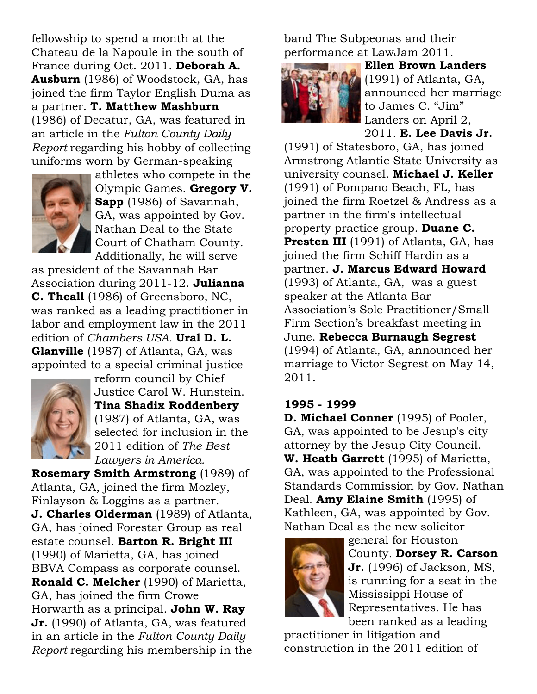fellowship to spend a month at the Chateau de la Napoule in the south of France during Oct. 2011. **Deborah A. Ausburn** (1986) of Woodstock, GA, has joined the firm Taylor English Duma as a partner. **T. Matthew Mashburn** (1986) of Decatur, GA, was featured in an article in the *Fulton County Daily Report* regarding his hobby of collecting uniforms worn by German-speaking



athletes who compete in the Olympic Games. **Gregory V. Sapp** (1986) of Savannah, GA, was appointed by Gov. Nathan Deal to the State Court of Chatham County. Additionally, he will serve

as president of the Savannah Bar Association during 2011-12. **Julianna C. Theall** (1986) of Greensboro, NC, was ranked as a leading practitioner in labor and employment law in the 2011 edition of *Chambers USA*. **Ural D. L. Glanville** (1987) of Atlanta, GA, was appointed to a special criminal justice



reform council by Chief Justice Carol W. Hunstein. **Tina Shadix Roddenbery** (1987) of Atlanta, GA, was selected for inclusion in the 2011 edition of *The Best Lawyers in America.*

**Rosemary Smith Armstrong** (1989) of Atlanta, GA, joined the firm Mozley, Finlayson & Loggins as a partner. **J. Charles Olderman** (1989) of Atlanta, GA, has joined Forestar Group as real estate counsel. **Barton R. Bright III** (1990) of Marietta, GA, has joined BBVA Compass as corporate counsel. **Ronald C. Melcher** (1990) of Marietta, GA, has joined the firm Crowe Horwarth as a principal. **John W. Ray Jr.** (1990) of Atlanta, GA, was featured in an article in the *Fulton County Daily Report* regarding his membership in the band The Subpeonas and their performance at LawJam 2011.



**Ellen Brown Landers** (1991) of Atlanta, GA, announced her marriage to James C. "Jim" Landers on April 2, 2011. **E. Lee Davis Jr.**

(1991) of Statesboro, GA, has joined Armstrong Atlantic State University as university counsel. **Michael J. Keller** (1991) of Pompano Beach, FL, has joined the firm Roetzel & Andress as a partner in the firm's intellectual property practice group. **Duane C. Presten III** (1991) of Atlanta, GA, has joined the firm Schiff Hardin as a partner. **J. Marcus Edward Howard** (1993) of Atlanta, GA, was a guest speaker at the Atlanta Bar Association's Sole Practitioner/Small Firm Section's breakfast meeting in June. **Rebecca Burnaugh Segrest** (1994) of Atlanta, GA, announced her marriage to Victor Segrest on May 14, 2011.

### **1995 - 1999**

**D. Michael Conner** (1995) of Pooler, GA, was appointed to be Jesup's city attorney by the Jesup City Council. **W. Heath Garrett** (1995) of Marietta, GA, was appointed to the Professional Standards Commission by Gov. Nathan Deal. **Amy Elaine Smith** (1995) of Kathleen, GA, was appointed by Gov. Nathan Deal as the new solicitor



general for Houston County. **Dorsey R. Carson Jr.** (1996) of Jackson, MS, is running for a seat in the Mississippi House of Representatives. He has been ranked as a leading

practitioner in litigation and construction in the 2011 edition of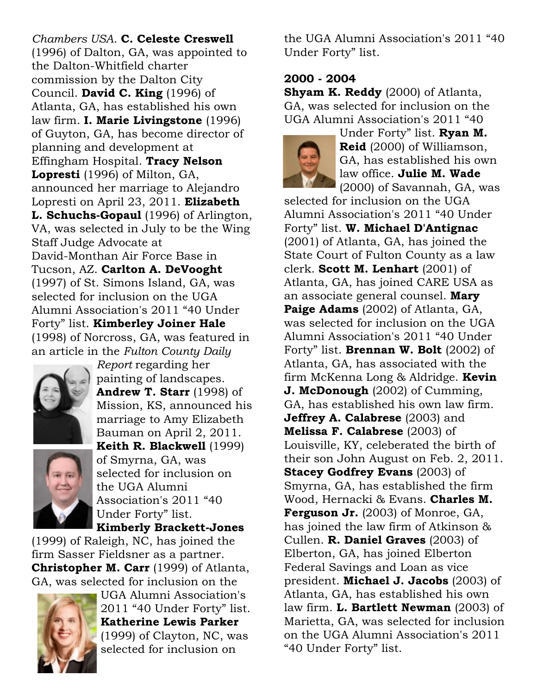*Chambers USA*. **C. Celeste Creswell** (1996) of Dalton, GA, was appointed to the Dalton-Whitfield charter commission by the Dalton City Council. **David C. King** (1996) of Atlanta, GA, has established his own law firm. **I. Marie Livingstone** (1996) of Guyton, GA, has become director of planning and development at Effingham Hospital. **Tracy Nelson Lopresti** (1996) of Milton, GA, announced her marriage to Alejandro Lopresti on April 23, 2011. **Elizabeth L. Schuchs-Gopaul** (1996) of Arlington, VA, was selected in July to be the Wing Staff Judge Advocate at David-Monthan Air Force Base in Tucson, AZ. **Carlton A. DeVooght** (1997) of St. Simons Island, GA, was selected for inclusion on the UGA Alumni Association's 2011 "40 Under Forty" list. **Kimberley Joiner Hale** (1998) of Norcross, GA, was featured in an article in the *Fulton County Daily*



*Report* regarding her painting of landscapes. **Andrew T. Starr** (1998) of Mission, KS, announced his marriage to Amy Elizabeth Bauman on April 2, 2011. **Keith R. Blackwell** (1999) of Smyrna, GA, was selected for inclusion on the UGA Alumni Association's 2011 "40 Under Forty" list. **Kimberly Brackett-Jones**

(1999) of Raleigh, NC, has joined the firm Sasser Fieldsner as a partner. **Christopher M. Carr** (1999) of Atlanta, GA, was selected for inclusion on the



UGA Alumni Association's 2011 "40 Under Forty" list. **Katherine Lewis Parker** (1999) of Clayton, NC, was selected for inclusion on

the UGA Alumni Association's 2011 "40 Under Forty" list.

### **2000 - 2004**

**Shyam K. Reddy** (2000) of Atlanta, GA, was selected for inclusion on the UGA Alumni Association's 2011 "40



Under Forty" list. **Ryan M. Reid** (2000) of Williamson, GA, has established his own law office. **Julie M. Wade** (2000) of Savannah, GA, was

selected for inclusion on the UGA Alumni Association's 2011 "40 Under Forty" list. **W. Michael D'Antignac** (2001) of Atlanta, GA, has joined the State Court of Fulton County as a law clerk. **Scott M. Lenhart** (2001) of Atlanta, GA, has joined CARE USA as an associate general counsel. **Mary Paige Adams** (2002) of Atlanta, GA, was selected for inclusion on the UGA Alumni Association's 2011 "40 Under Forty" list. **Brennan W. Bolt** (2002) of Atlanta, GA, has associated with the firm McKenna Long & Aldridge. **Kevin J. McDonough** (2002) of Cumming, GA, has established his own law firm. **Jeffrey A. Calabrese** (2003) and **Melissa F. Calabrese** (2003) of Louisville, KY, celeberated the birth of their son John August on Feb. 2, 2011. **Stacey Godfrey Evans** (2003) of Smyrna, GA, has established the firm Wood, Hernacki & Evans. **Charles M. Ferguson Jr.** (2003) of Monroe, GA, has joined the law firm of Atkinson & Cullen. **R. Daniel Graves** (2003) of Elberton, GA, has joined Elberton Federal Savings and Loan as vice president. **Michael J. Jacobs** (2003) of Atlanta, GA, has established his own law firm. **L. Bartlett Newman** (2003) of Marietta, GA, was selected for inclusion on the UGA Alumni Association's 2011 "40 Under Forty" list.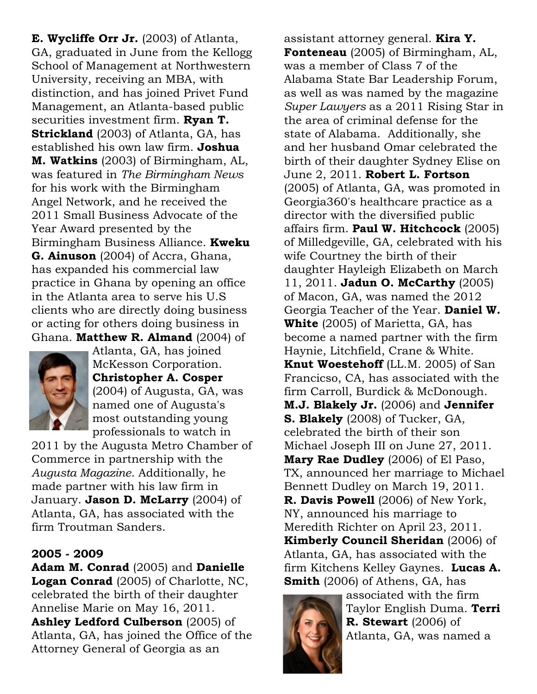**E. Wycliffe Orr Jr.** (2003) of Atlanta, GA, graduated in June from the Kellogg School of Management at Northwestern University, receiving an MBA, with distinction, and has joined Privet Fund Management, an Atlanta-based public securities investment firm. **Ryan T. Strickland** (2003) of Atlanta, GA, has established his own law firm. **Joshua M. Watkins** (2003) of Birmingham, AL, was featured in *The Birmingham News* for his work with the Birmingham Angel Network, and he received the 2011 Small Business Advocate of the Year Award presented by the Birmingham Business Alliance. **Kweku G. Ainuson** (2004) of Accra, Ghana, has expanded his commercial law practice in Ghana by opening an office in the Atlanta area to serve his U.S clients who are directly doing business or acting for others doing business in Ghana. **Matthew R. Almand** (2004) of



Atlanta, GA, has joined McKesson Corporation. **Christopher A. Cosper** (2004) of Augusta, GA, was named one of Augusta's most outstanding young professionals to watch in

2011 by the Augusta Metro Chamber of Commerce in partnership with the *Augusta Magazine*. Additionally, he made partner with his law firm in January. **Jason D. McLarry** (2004) of Atlanta, GA, has associated with the firm Troutman Sanders.

### **2005 - 2009**

**Adam M. Conrad** (2005) and **Danielle Logan Conrad** (2005) of Charlotte, NC, celebrated the birth of their daughter Annelise Marie on May 16, 2011. **Ashley Ledford Culberson** (2005) of Atlanta, GA, has joined the Office of the Attorney General of Georgia as an

assistant attorney general. **Kira Y. Fonteneau** (2005) of Birmingham, AL, was a member of Class 7 of the Alabama State Bar Leadership Forum, as well as was named by the magazine *Super Lawyers* as a 2011 Rising Star in the area of criminal defense for the state of Alabama. Additionally, she and her husband Omar celebrated the birth of their daughter Sydney Elise on June 2, 2011. **Robert L. Fortson** (2005) of Atlanta, GA, was promoted in Georgia360's healthcare practice as a director with the diversified public affairs firm. **Paul W. Hitchcock** (2005) of Milledgeville, GA, celebrated with his wife Courtney the birth of their daughter Hayleigh Elizabeth on March 11, 2011. **Jadun O. McCarthy** (2005) of Macon, GA, was named the 2012 Georgia Teacher of the Year. **Daniel W. White** (2005) of Marietta, GA, has become a named partner with the firm Haynie, Litchfield, Crane & White. **Knut Woestehoff** (LL.M. 2005) of San Francicso, CA, has associated with the firm Carroll, Burdick & McDonough. **M.J. Blakely Jr.** (2006) and **Jennifer S. Blakely** (2008) of Tucker, GA, celebrated the birth of their son Michael Joseph III on June 27, 2011. **Mary Rae Dudley** (2006) of El Paso, TX, announced her marriage to Michael Bennett Dudley on March 19, 2011. **R. Davis Powell** (2006) of New York, NY, announced his marriage to Meredith Richter on April 23, 2011. **Kimberly Council Sheridan** (2006) of Atlanta, GA, has associated with the firm Kitchens Kelley Gaynes. **Lucas A. Smith** (2006) of Athens, GA, has



associated with the firm Taylor English Duma. **Terri R. Stewart** (2006) of Atlanta, GA, was named a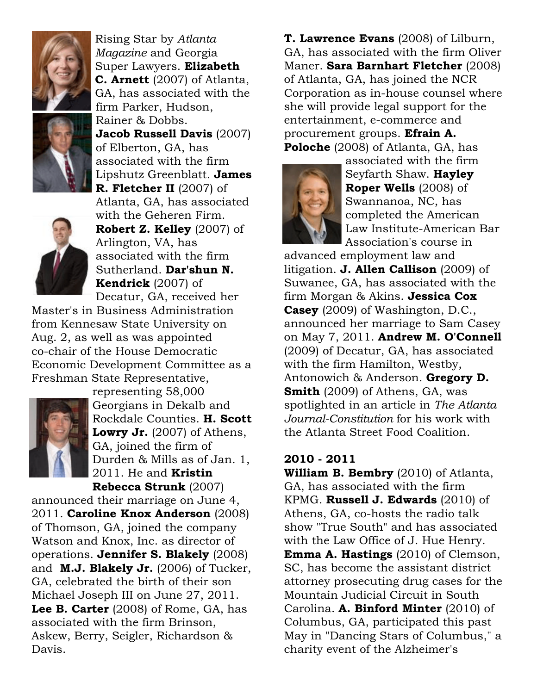

Rising Star by *Atlanta Magazine* and Georgia Super Lawyers. **Elizabeth C. Arnett** (2007) of Atlanta, GA, has associated with the firm Parker, Hudson, Rainer & Dobbs. **Jacob Russell Davis** (2007) of Elberton, GA, has

associated with the firm Lipshutz Greenblatt. **James**



**R. Fletcher II** (2007) of Atlanta, GA, has associated with the Geheren Firm. **Robert Z. Kelley** (2007) of Arlington, VA, has associated with the firm Sutherland. **Dar'shun N. Kendrick** (2007) of Decatur, GA, received her

Master's in Business Administration from Kennesaw State University on Aug. 2, as well as was appointed co-chair of the House Democratic Economic Development Committee as a Freshman State Representative,



representing 58,000 Georgians in Dekalb and Rockdale Counties. **H. Scott Lowry Jr.** (2007) of Athens, GA, joined the firm of Durden & Mills as of Jan. 1, 2011. He and **Kristin Rebecca Strunk** (2007)

announced their marriage on June 4, 2011. **Caroline Knox Anderson** (2008) of Thomson, GA, joined the company Watson and Knox, Inc. as director of operations. **Jennifer S. Blakely** (2008) and **M.J. Blakely Jr.** (2006) of Tucker, GA, celebrated the birth of their son Michael Joseph III on June 27, 2011. **Lee B. Carter** (2008) of Rome, GA, has associated with the firm Brinson, Askew, Berry, Seigler, Richardson & Davis.

**T. Lawrence Evans** (2008) of Lilburn, GA, has associated with the firm Oliver Maner. **Sara Barnhart Fletcher** (2008) of Atlanta, GA, has joined the NCR Corporation as in-house counsel where she will provide legal support for the entertainment, e-commerce and procurement groups. **Efrain A. Poloche** (2008) of Atlanta, GA, has



associated with the firm Seyfarth Shaw. **Hayley Roper Wells** (2008) of Swannanoa, NC, has completed the American Law Institute-American Bar Association's course in

advanced employment law and litigation. **J. Allen Callison** (2009) of Suwanee, GA, has associated with the firm Morgan & Akins. **Jessica Cox Casey** (2009) of Washington, D.C., announced her marriage to Sam Casey on May 7, 2011. **Andrew M. O'Connell** (2009) of Decatur, GA, has associated with the firm Hamilton, Westby, Antonowich & Anderson. **Gregory D. Smith** (2009) of Athens, GA, was spotlighted in an article in *The Atlanta Journal-Constitution* for his work with the Atlanta Street Food Coalition.

## **2010 - 2011**

**William B. Bembry** (2010) of Atlanta, GA, has associated with the firm KPMG. **Russell J. Edwards** (2010) of Athens, GA, co-hosts the radio talk show "True South" and has associated with the Law Office of J. Hue Henry. **Emma A. Hastings** (2010) of Clemson, SC, has become the assistant district attorney prosecuting drug cases for the Mountain Judicial Circuit in South Carolina. **A. Binford Minter** (2010) of Columbus, GA, participated this past May in "Dancing Stars of Columbus," a charity event of the Alzheimer's